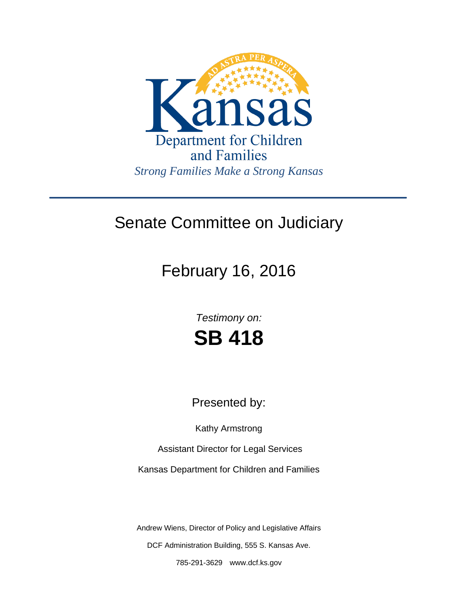

## Senate Committee on Judiciary

February 16, 2016

*Testimony on:* **SB 418**

Presented by:

Kathy Armstrong

Assistant Director for Legal Services

Kansas Department for Children and Families

Andrew Wiens, Director of Policy and Legislative Affairs DCF Administration Building, 555 S. Kansas Ave.

785-291-3629 www.dcf.ks.gov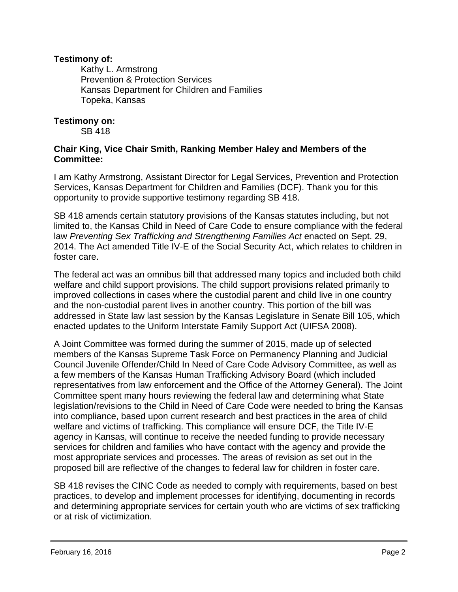## **Testimony of:**

 Kathy L. Armstrong Prevention & Protection Services Kansas Department for Children and Families Topeka, Kansas

## **Testimony on:**

SB 418

## **Chair King, Vice Chair Smith, Ranking Member Haley and Members of the Committee:**

I am Kathy Armstrong, Assistant Director for Legal Services, Prevention and Protection Services, Kansas Department for Children and Families (DCF). Thank you for this opportunity to provide supportive testimony regarding SB 418.

SB 418 amends certain statutory provisions of the Kansas statutes including, but not limited to, the Kansas Child in Need of Care Code to ensure compliance with the federal law *Preventing Sex Trafficking and Strengthening Families Act enacted on Sept. 29,* 2014. The Act amended Title IV-E of the Social Security Act, which relates to children in foster care.

The federal act was an omnibus bill that addressed many topics and included both child welfare and child support provisions. The child support provisions related primarily to improved collections in cases where the custodial parent and child live in one country and the non-custodial parent lives in another country. This portion of the bill was addressed in State law last session by the Kansas Legislature in Senate Bill 105, which enacted updates to the Uniform Interstate Family Support Act (UIFSA 2008).

A Joint Committee was formed during the summer of 2015, made up of selected members of the Kansas Supreme Task Force on Permanency Planning and Judicial Council Juvenile Offender/Child In Need of Care Code Advisory Committee, as well as a few members of the Kansas Human Trafficking Advisory Board (which included representatives from law enforcement and the Office of the Attorney General). The Joint Committee spent many hours reviewing the federal law and determining what State legislation/revisions to the Child in Need of Care Code were needed to bring the Kansas into compliance, based upon current research and best practices in the area of child welfare and victims of trafficking. This compliance will ensure DCF, the Title IV-E agency in Kansas, will continue to receive the needed funding to provide necessary services for children and families who have contact with the agency and provide the most appropriate services and processes. The areas of revision as set out in the proposed bill are reflective of the changes to federal law for children in foster care.

SB 418 revises the CINC Code as needed to comply with requirements, based on best practices, to develop and implement processes for identifying, documenting in records and determining appropriate services for certain youth who are victims of sex trafficking or at risk of victimization.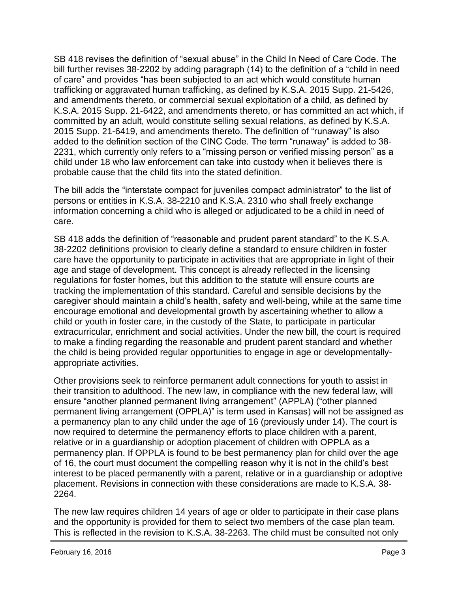SB 418 revises the definition of "sexual abuse" in the Child In Need of Care Code. The bill further revises 38-2202 by adding paragraph (14) to the definition of a "child in need of care" and provides "has been subjected to an act which would constitute human trafficking or aggravated human trafficking, as defined by K.S.A. 2015 Supp. 21-5426, and amendments thereto, or commercial sexual exploitation of a child, as defined by K.S.A. 2015 Supp. 21-6422, and amendments thereto, or has committed an act which, if committed by an adult, would constitute selling sexual relations, as defined by K.S.A. 2015 Supp. 21-6419, and amendments thereto. The definition of "runaway" is also added to the definition section of the CINC Code. The term "runaway" is added to 38- 2231, which currently only refers to a "missing person or verified missing person" as a child under 18 who law enforcement can take into custody when it believes there is probable cause that the child fits into the stated definition.

The bill adds the "interstate compact for juveniles compact administrator" to the list of persons or entities in K.S.A. 38-2210 and K.S.A. 2310 who shall freely exchange information concerning a child who is alleged or adjudicated to be a child in need of care.

SB 418 adds the definition of "reasonable and prudent parent standard" to the K.S.A. 38-2202 definitions provision to clearly define a standard to ensure children in foster care have the opportunity to participate in activities that are appropriate in light of their age and stage of development. This concept is already reflected in the licensing regulations for foster homes, but this addition to the statute will ensure courts are tracking the implementation of this standard. Careful and sensible decisions by the caregiver should maintain a child's health, safety and well-being, while at the same time encourage emotional and developmental growth by ascertaining whether to allow a child or youth in foster care, in the custody of the State, to participate in particular extracurricular, enrichment and social activities. Under the new bill, the court is required to make a finding regarding the reasonable and prudent parent standard and whether the child is being provided regular opportunities to engage in age or developmentallyappropriate activities.

Other provisions seek to reinforce permanent adult connections for youth to assist in their transition to adulthood. The new law, in compliance with the new federal law, will ensure "another planned permanent living arrangement" (APPLA) ("other planned permanent living arrangement (OPPLA)" is term used in Kansas) will not be assigned as a permanency plan to any child under the age of 16 (previously under 14). The court is now required to determine the permanency efforts to place children with a parent, relative or in a guardianship or adoption placement of children with OPPLA as a permanency plan. If OPPLA is found to be best permanency plan for child over the age of 16, the court must document the compelling reason why it is not in the child's best interest to be placed permanently with a parent, relative or in a guardianship or adoptive placement. Revisions in connection with these considerations are made to K.S.A. 38- 2264.

The new law requires children 14 years of age or older to participate in their case plans and the opportunity is provided for them to select two members of the case plan team. This is reflected in the revision to K.S.A. 38-2263. The child must be consulted not only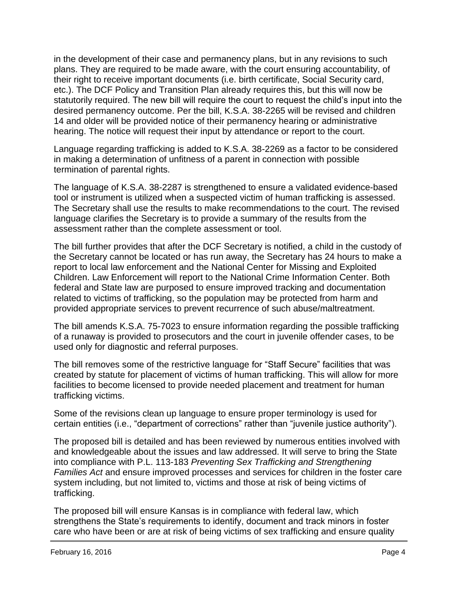in the development of their case and permanency plans, but in any revisions to such plans. They are required to be made aware, with the court ensuring accountability, of their right to receive important documents (i.e. birth certificate, Social Security card, etc.). The DCF Policy and Transition Plan already requires this, but this will now be statutorily required. The new bill will require the court to request the child's input into the desired permanency outcome. Per the bill, K.S.A. 38-2265 will be revised and children 14 and older will be provided notice of their permanency hearing or administrative hearing. The notice will request their input by attendance or report to the court.

Language regarding trafficking is added to K.S.A. 38-2269 as a factor to be considered in making a determination of unfitness of a parent in connection with possible termination of parental rights.

The language of K.S.A. 38-2287 is strengthened to ensure a validated evidence-based tool or instrument is utilized when a suspected victim of human trafficking is assessed. The Secretary shall use the results to make recommendations to the court. The revised language clarifies the Secretary is to provide a summary of the results from the assessment rather than the complete assessment or tool.

The bill further provides that after the DCF Secretary is notified, a child in the custody of the Secretary cannot be located or has run away, the Secretary has 24 hours to make a report to local law enforcement and the National Center for Missing and Exploited Children. Law Enforcement will report to the National Crime Information Center. Both federal and State law are purposed to ensure improved tracking and documentation related to victims of trafficking, so the population may be protected from harm and provided appropriate services to prevent recurrence of such abuse/maltreatment.

The bill amends K.S.A. 75-7023 to ensure information regarding the possible trafficking of a runaway is provided to prosecutors and the court in juvenile offender cases, to be used only for diagnostic and referral purposes.

The bill removes some of the restrictive language for "Staff Secure" facilities that was created by statute for placement of victims of human trafficking. This will allow for more facilities to become licensed to provide needed placement and treatment for human trafficking victims.

Some of the revisions clean up language to ensure proper terminology is used for certain entities (i.e., "department of corrections" rather than "juvenile justice authority").

The proposed bill is detailed and has been reviewed by numerous entities involved with and knowledgeable about the issues and law addressed. It will serve to bring the State into compliance with P.L. 113-183 *Preventing Sex Trafficking and Strengthening Families Act* and ensure improved processes and services for children in the foster care system including, but not limited to, victims and those at risk of being victims of trafficking.

The proposed bill will ensure Kansas is in compliance with federal law, which strengthens the State's requirements to identify, document and track minors in foster care who have been or are at risk of being victims of sex trafficking and ensure quality